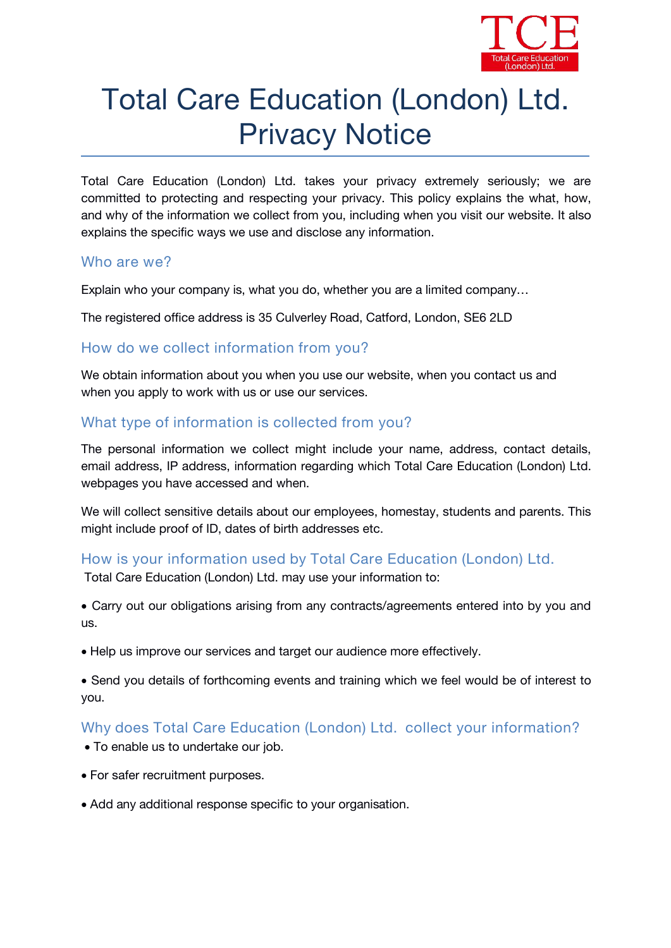

# Total Care Education (London) Ltd. Privacy Notice

Total Care Education (London) Ltd. takes your privacy extremely seriously; we are committed to protecting and respecting your privacy. This policy explains the what, how, and why of the information we collect from you, including when you visit our website. It also explains the specific ways we use and disclose any information.

#### **Who are we?**

*Explain who your company is, what you do, whether you are a limited company…*

The registered office address is *35 Culverley Road, Catford, London, SE6 2LD*

#### **How do we collect information from you?**

We obtain information about you when you use our website, when you contact us and when you apply to work with us or use our services.

## **What type of information iscollected from you?**

The personal information we collect might include your name, address, contact details, email address, IP address, information regarding which Total Care Education (London) Ltd. webpages you have accessed and when.

We will collect sensitive details about our employees, homestay, students and parents. This might include proof of ID, dates of birth addresses etc.

#### **How is your information used by Total Care Education (London) Ltd.**

Total Care Education (London) Ltd. may use your information to:

 Carry out our obligations arising from any contracts/agreements entered into byyou and us.

Help us improve our services and target our audience more effectively.

 Send you details of forthcoming events and training which we feel would be of interest to you.

# **Why does Total Care Education (London) Ltd. collect your information?**

- To enable us to undertake our job.
- For safer recruitment purposes.
- *Add any additional response specific to your organisation.*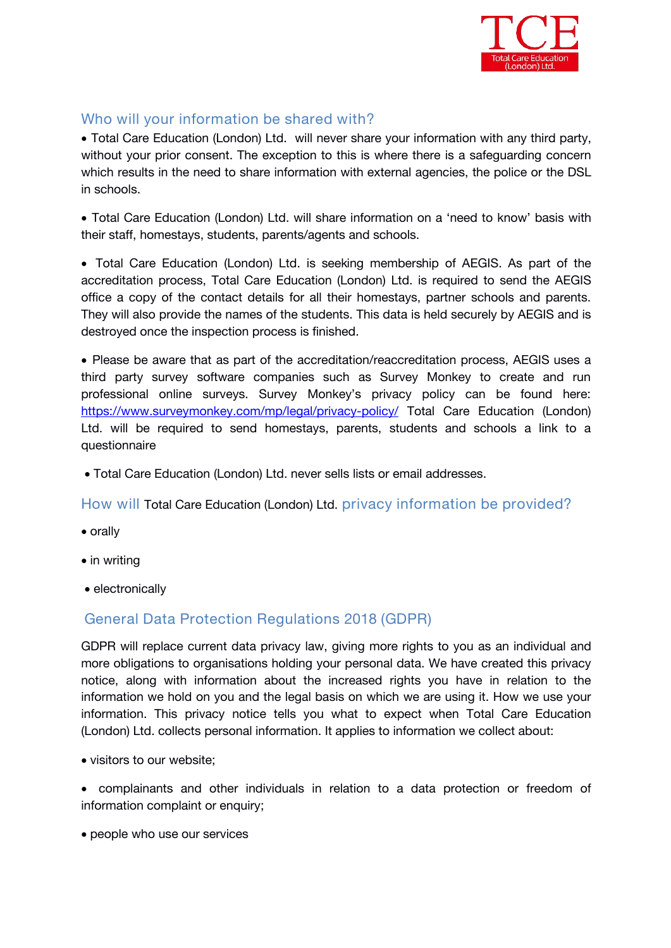

# **Who will your information be shared with?**

 Total Care Education (London) Ltd. will never share your information with any third party, without your prior consent. The exception to this is where there is a safeguarding concern which results in the need to share information with external agencies, the police or the DSL in schools.

 Total Care Education (London) Ltd. will share information on a 'need to know' basis with their staff, homestays, students, parents/agents and schools.

 Total Care Education (London) Ltd. is *seeking membership of AEGIS*. As part of the accreditation process, Total Care Education (London) Ltd. is required to send the AEGIS office a copy of the contact details for all their homestays, partner schools and parents. They will also provide the names of the students. This data is held securely by AEGIS and is destroyed once the inspection process is finished.

 Please be aware that as part of the accreditation/reaccreditation process, AEGIS uses a third party survey software companies such as Survey Monkey to create and run professional online surveys. Survey Monkey's privacy policy can be found here: [https://www.surveymonkey.com/mp/legal/privacy-policy/](about:blank) Total Care Education (London) Ltd. will be required to send homestays, parents, students and schools a link to a questionnaire

Total Care Education (London) Ltd. never sells lists oremail addresses.

**How will** Total Care Education (London) Ltd. **privacy information be provided?**

- orally
- in writing
- electronically

# **General Data Protection Regulations 2018 (GDPR)**

GDPR will replace current data privacy law, giving more rights to you as an individual and more obligations to organisations holding your personal data. We have created this privacy notice, along with information about the increased rights you have in relation to the information we hold on you and the legal basis on which we are using it. How we use your information. This privacy notice tells you what to expect when Total Care Education (London) Ltd. collects personal information. It applies to information we collect about:

visitors to our website;

 complainants and other individuals in relation to a data protection or freedom of information complaint or enquiry;

• people who use our services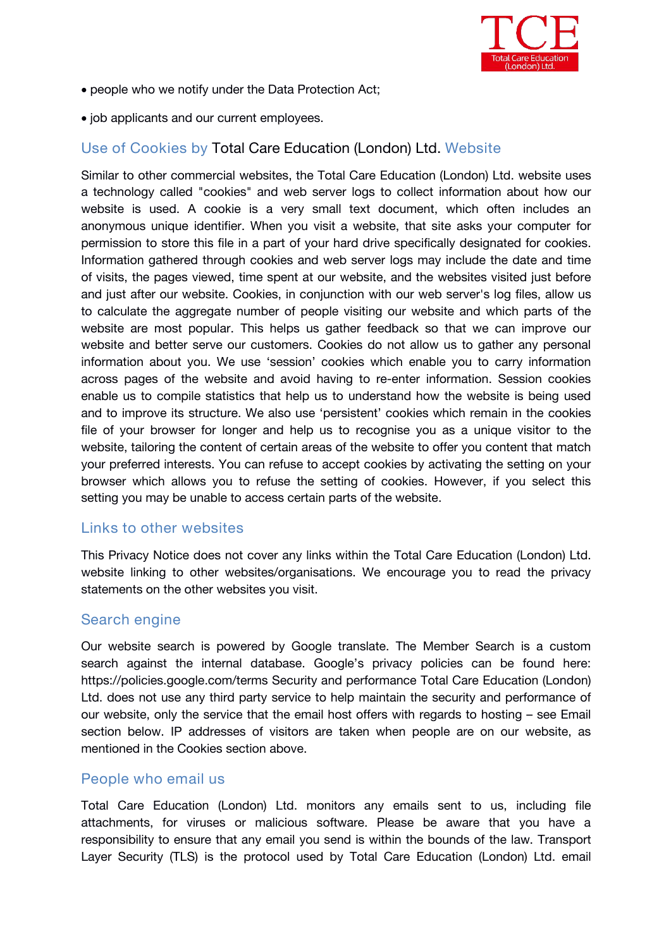

- people who we notify under the Data Protection Act;
- job applicants and our current employees.

# **Use of Cookies by** Total Care Education (London) Ltd. **Website**

Similar to other commercial websites, the Total Care Education (London) Ltd. website uses a technology called "cookies" and web server logs to collect information about how our website is used. A cookie is a very small text document, which often includes an anonymous unique identifier. When you visit a website, that site asks your computer for permission to store this file in a part of your hard drive specifically designated for cookies. Information gathered through cookies and web server logs may include the date and time of visits, the pages viewed, time spent at our website, and the websites visited just before and just after our website. Cookies, in conjunction with our web server's log files, allow us to calculate the aggregate number of people visiting our website and which parts of the website are most popular. This helps us gather feedback so that we can improve our website and better serve our customers. Cookies do not allow us to gather any personal information about you. We use 'session' cookies which enable you to carry information across pages of the website and avoid having to re-enter information. Session cookies enable us to compile statistics that help us to understand how the website is being used and to improve its structure. We also use 'persistent' cookies which remain in the cookies file of your browser for longer and help us to recognise you as a unique visitor to the website, tailoring the content of certain areas of the website to offer you content that match your preferred interests. You can refuse to accept cookies by activating the setting on your browser which allows you to refuse the setting of cookies. However, if you select this setting you may be unable to access certain parts of the website.

#### **Links to other websites**

This Privacy Notice does not cover any links within the Total Care Education (London) Ltd. website linking to other websites/organisations. We encourage you to read the privacy statements on the other websites you visit.

#### **Search engine**

Our website search is powered by Google translate. The Member Search is a custom search against the internal database. Google's privacy policies can be found here: https://policies.google.com/terms Security and performance Total Care Education (London) Ltd. does not use any third party service to help maintain the security and performance of our website, only the service that *the email host* offers with regards to hosting – see Email section below. IP addresses of visitors are taken when people are on our website, as mentioned in the Cookies section above.

#### **People who email us**

Total Care Education (London) Ltd. monitors any emails sent to us, including file attachments, for viruses or malicious software. Please be aware that you have a responsibility to ensure that any email you send is within the bounds of the law*.* Transport Layer Security (TLS) is the protocol used by Total Care Education (London) Ltd. email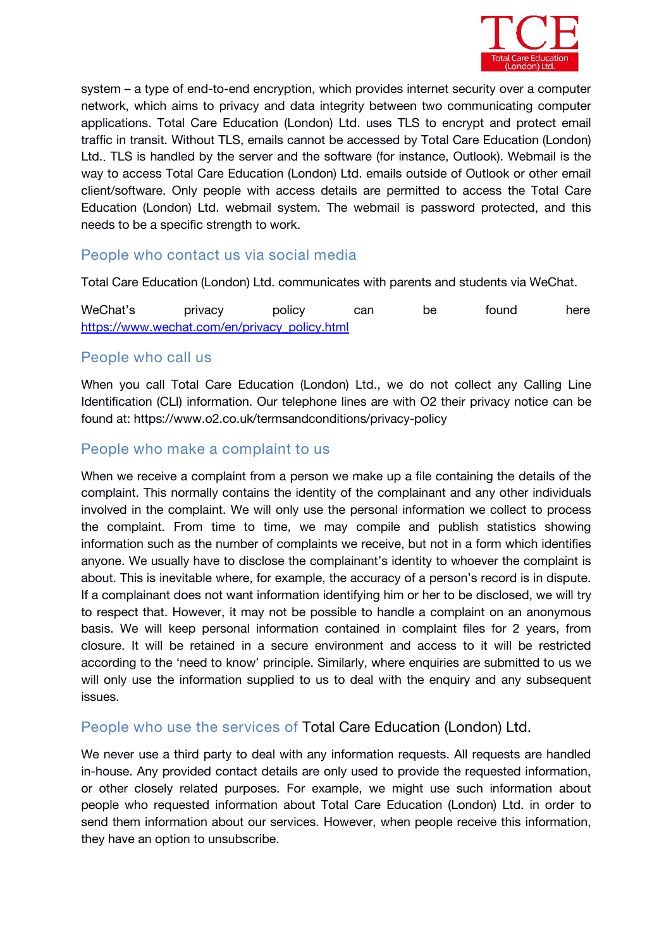

system – a type of end-to-end encryption, which provides internet security over a computer network, which aims to privacy and data integrity between two communicating computer applications. Total Care Education (London) Ltd. uses TLS to encrypt and protect email traffic in transit. Without TLS, emails cannot be accessed by Total Care Education (London) Ltd.*.* TLS is handled by the server and the software (for instance, Outlook). Webmail is the way to access Total Care Education (London) Ltd. emails outside of Outlook or other email client/software. Only people with access details are permitted to access the Total Care Education (London) Ltd. webmail system. The webmail is password protected, and this needs to be a specific strength to work.

## **People who contact us via social media**

Total Care Education (London) Ltd. communicates with parents and students via WeChat.

WeChat's privacy policy can be found here [https://www.wechat.com/en/privacy\\_policy.html](about:blank)

#### **People who call us**

When you call Total Care Education (London) Ltd., *we do not* collect any Calling Line Identification (CLI) information. Our telephone lines are with *O2* their privacy notice can be found at: *https://www.o2.co.uk/termsandconditions/privacy-policy*

#### **People who make a complaint to us**

When we receive a complaint from a person we make up a file containing the details of the complaint. This normally contains the identity of the complainant and any other individuals involved in the complaint. We will only use the personal information we collect to process the complaint. From time to time, we may compile and publish statistics showing information such as the number of complaints we receive, but not in a form which identifies anyone. We usually have to disclose the complainant's identity to whoever the complaint is about. This is inevitable where, for example, the accuracy of a person's record is in dispute. If a complainant does not want information identifying him or her to be disclosed, we will try to respect that. However, it may not be possible to handle a complaint on an anonymous basis. We will keep personal information contained in complaint files for 2 years, from closure. It will be retained in a secure environment and access to it will be restricted according to the 'need to know' principle. Similarly, where enquiries are submitted to us we will only use the information supplied to us to deal with the enquiry and any subsequent issues.

#### **People who use the services of** Total Care Education (London) Ltd.

We never use a third party to deal with any information requests. All requests are handled in-house. Any provided contact details are only used to provide the requested information, or other closely related purposes. For example, we might use such information about people who requested information about Total Care Education (London) Ltd. in order to send them information about our services. However, when people receive this information, they have an option to unsubscribe.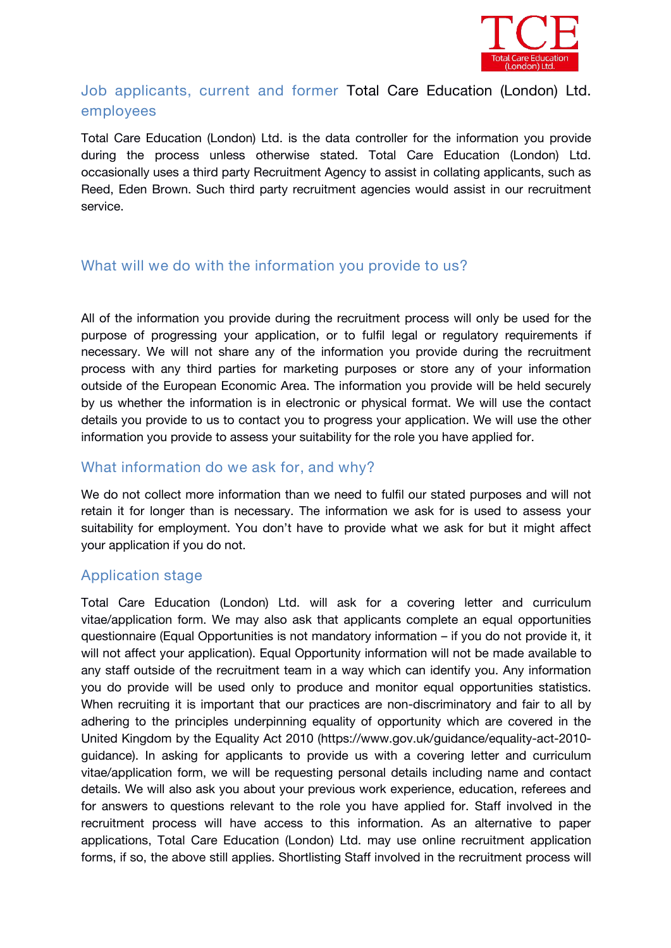

# **Job applicants, current and former** Total Care Education (London) Ltd. **employees**

Total Care Education (London) Ltd. is the data controller for the information you provide during the process unless otherwise stated. Total Care Education (London) Ltd. occasionally uses a third party Recruitment Agency to assist in collating applicants, such as *Reed, Eden Brown.* Such third party recruitment agencies would assist in our recruitment service.

## **What will we do with the information you provide to us?**

All of the information you provide during the recruitment process will only be used for the purpose of progressing your application, or to fulfil legal or regulatory requirements if necessary. We will not share any of the information you provide during the recruitment process with any third parties for marketing purposes or store any of your information outside of the European Economic Area. The information you provide will be held securely by us whether the information is in electronic or physical format. We will use the contact details you provide to us to contact you to progress your application. We will use the other information you provide to assess your suitability for the role you have applied for.

#### **What information do we ask for, and why?**

We do not collect more information than we need to fulfil our stated purposes and will not retain it for longer than is necessary. The information we ask for is used to assess your suitability for employment. You don't have to provide what we ask for but it might affect your application if you do not.

#### **Application stage**

Total Care Education (London) Ltd. will ask for a covering letter and curriculum vitae/application form. We may also ask that applicants complete an equal opportunities questionnaire (Equal Opportunities is not mandatory information – if you do not provide it, it will not affect your application). Equal Opportunity information will not be made available to any staff outside of the recruitment team in a way which can identify you. Any information you do provide will be used only to produce and monitor equal opportunities statistics. When recruiting it is important that our practices are non-discriminatory and fair to all by adhering to the principles underpinning equality of opportunity which are covered in the United Kingdom by the Equality Act 2010 (https://www.gov.uk/guidance/equality-act-2010 guidance). In asking for applicants to provide us with a covering letter and curriculum vitae/application form, we will be requesting personal details including name and contact details. We will also ask you about your previous work experience, education, referees and for answers to questions relevant to the role you have applied for. Staff involved in the recruitment process will have access to this information. As an alternative to paper applications, Total Care Education (London) Ltd. may use online recruitment application forms, if so, the above still applies. Shortlisting Staff involved in the recruitment process will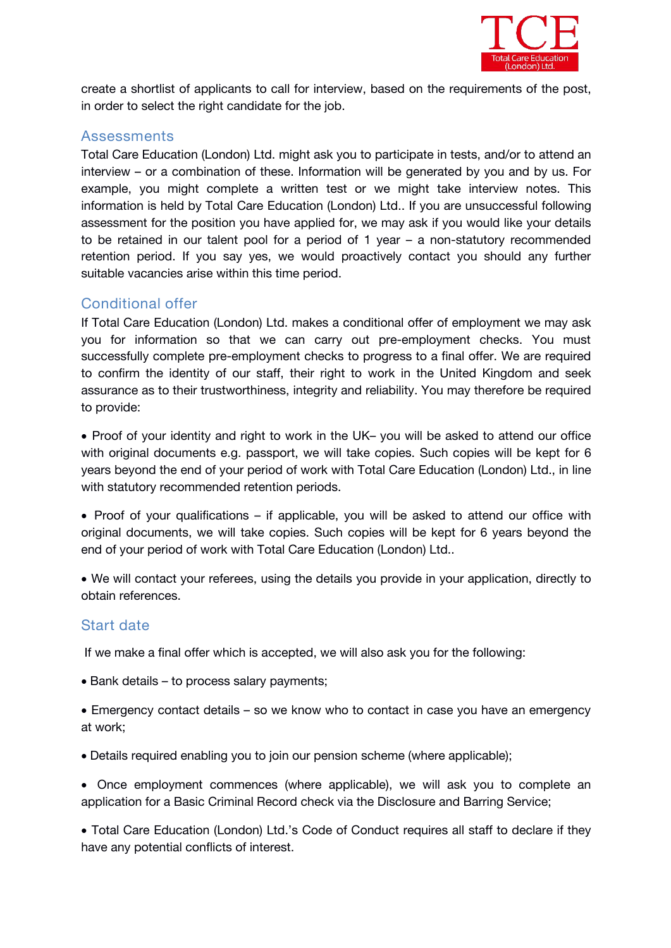

create a shortlist of applicants to call for interview, based on the requirements of the post, in order to select the right candidate for the job.

#### **Assessments**

Total Care Education (London) Ltd. might ask you to participate in tests, and/or to attend an interview – or a combination of these. Information will be generated by you and by us. For example, you might complete a written test or we might take interview notes. This information is held by Total Care Education (London) Ltd.. If you are unsuccessful following assessment for the position you have applied for, we may ask if you would like your details to be retained in our talent pool for a period of 1 year  $-$  a non-statutory recommended retention period. If you say yes, we would proactively contact you should any further suitable vacancies arise within this time period.

## **Conditional offer**

If Total Care Education (London) Ltd. makes a conditional offer of employment we may ask you for information so that we can carry out pre-employment checks. You must successfully complete pre-employment checks to progress to a final offer. We are required to confirm the identity of our staff, their right to work in the United Kingdom and seek assurance as to their trustworthiness, integrity and reliability. You may therefore be required to provide:

• Proof of your identity and right to work in the UK- you will be asked to attend our office with original documents e.g. passport, we will take copies. Such copies will be kept for 6 years beyond the end of your period of work with Total Care Education (London) Ltd., in line with statutory recommended retention periods.

• Proof of your qualifications – if applicable, you will be asked to attend our office with original documents, we will take copies. Such copies will be kept for 6 years beyond the end of your period of work with Total Care Education (London) Ltd..

 We will contact your referees, using the details you provide in your application, directly to obtain references.

# **Start date**

If we make a final offer which is accepted, we will also ask you for the following:

• Bank details – to process salary payments;

 Emergency contact details – so we know who to contact in case you have an emergency at work;

Details required enabling you to join our pension scheme (where applicable);

 Once employment commences (where applicable), we will ask you to complete an application for a Basic Criminal Record check via the Disclosure and Barring Service;

 Total Care Education (London) Ltd.'s Code of Conduct requires all staff to declare if they have any potential conflicts of interest.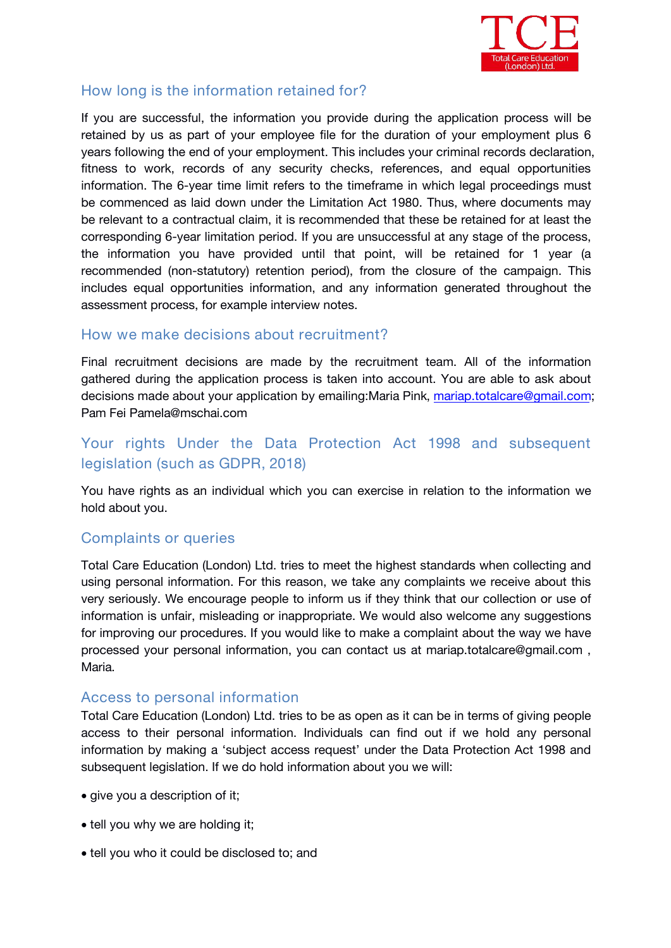

# **How long is the information retained for?**

If you are successful, the information you provide during the application process will be retained by us as part of your employee file for the duration of your employment plus 6 years following the end of your employment. This includes your criminal records declaration, fitness to work, records of any security checks, references, and equal opportunities information. The 6-year time limit refers to the timeframe in which legal proceedings must be commenced as laid down under the Limitation Act 1980. Thus, where documents may be relevant to a contractual claim, it is recommended that these be retained for at least the corresponding 6-year limitation period. If you are unsuccessful at any stage of the process, the information you have provided until that point, will be retained for 1 year (a recommended (non-statutory) retention period), from the closure of the campaign. This includes equal opportunities information, and any information generated throughout the assessment process, for example interview notes.

## **How we make decisions about recruitment?**

Final recruitment decisions are made by the recruitment team. All of the information gathered during the application process is taken into account. You are able to ask about decisions made about your application by emailing:*Maria Pink, [mariap.totalcare@gmail.com;](mailto:mariap.totalcare@gmail.com) Pam Fei Pamela@mschai.com*

# **Your rights Under the Data Protection Act 1998 and subsequent legislation (such as GDPR, 2018)**

You have rights as an individual which you can exercise in relation to the information we hold about you.

# **Complaints or queries**

Total Care Education (London) Ltd. tries to meet the highest standards when collecting and using personal information. For this reason, we take any complaints we receive about this very seriously. We encourage people to inform us if they think that our collection or use of information is unfair, misleading or inappropriate. We would also welcome any suggestions for improving our procedures. If you would like to make a complaint about the way we have processed your personal information, you can contact us at *mariap.totalcare@gmail.com , Maria.*

#### **Access to personal information**

Total Care Education (London) Ltd. tries to be as open as it can be in terms of giving people access to their personal information. Individuals can find out if we hold any personal information by making a 'subject access request' under the Data Protection Act 1998 and subsequent legislation. If we do hold information about you we will:

- give you a description of it;
- tell you why we are holding it;
- tell you who it could be disclosed to; and